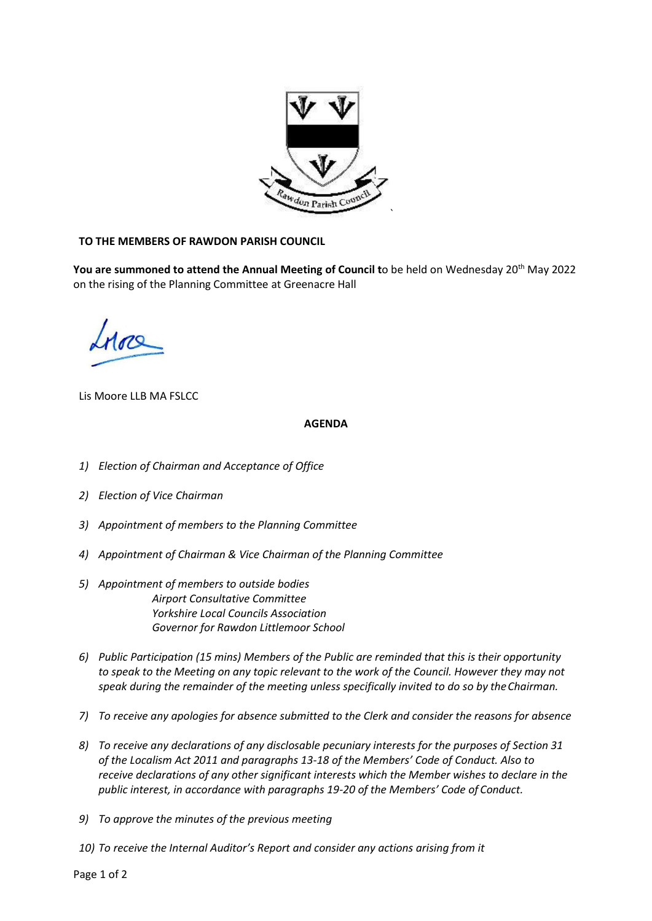

## **TO THE MEMBERS OF RAWDON PARISH COUNCIL**

You are summoned to attend the Annual Meeting of Council to be held on Wednesday 20<sup>th</sup> May 2022 on the rising of the Planning Committee at Greenacre Hall

Lis Moore LLB MA FSLCC

## **AGENDA**

- *1) Election of Chairman and Acceptance of Office*
- *2) Election of Vice Chairman*
- *3) Appointment of members to the Planning Committee*
- *4) Appointment of Chairman & Vice Chairman of the Planning Committee*
- *5) Appointment of members to outside bodies Airport Consultative Committee Yorkshire Local Councils Association Governor for Rawdon Littlemoor School*
- *6) Public Participation (15 mins) Members of the Public are reminded that this is their opportunity to speak to the Meeting on any topic relevant to the work of the Council. However they may not speak during the remainder of the meeting unless specifically invited to do so by theChairman.*
- *7) To receive any apologies for absence submitted to the Clerk and consider the reasons for absence*
- *8) To receive any declarations of any disclosable pecuniary interests for the purposes of Section 31 of the Localism Act 2011 and paragraphs 13-18 of the Members' Code of Conduct. Also to receive declarations of any other significant interests which the Member wishes to declare in the public interest, in accordance with paragraphs 19-20 of the Members' Code of Conduct.*
- *9) To approve the minutes of the previous meeting*
- *10) To receive the Internal Auditor's Report and consider any actions arising from it*